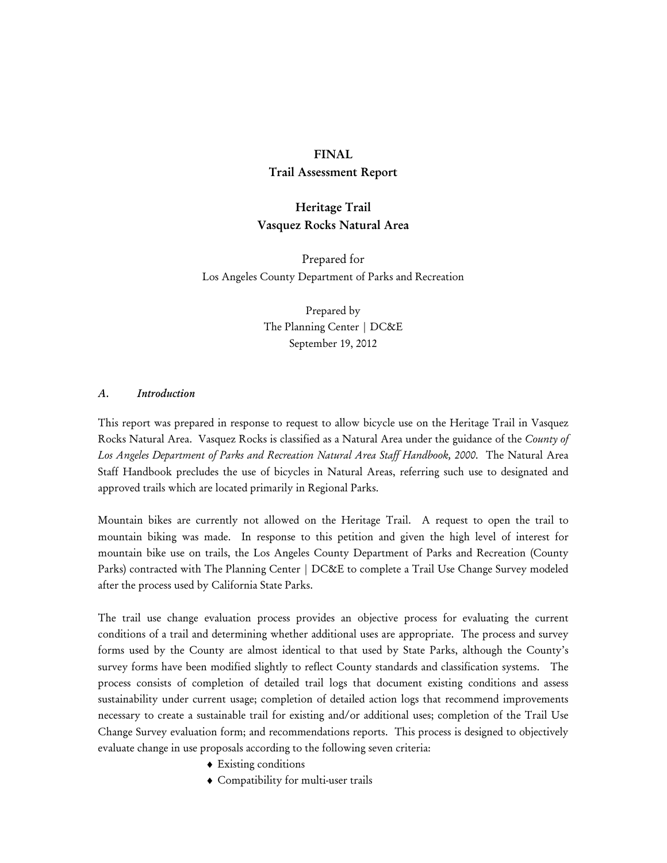#### **FINAL**

## **Trail Assessment Report**

# **Heritage Trail Vasquez Rocks Natural Area**

Prepared for Los Angeles County Department of Parks and Recreation

> Prepared by The Planning Center | DC&E September 19, 2012

#### *A. Introduction*

This report was prepared in response to request to allow bicycle use on the Heritage Trail in Vasquez Rocks Natural Area. Vasquez Rocks is classified as a Natural Area under the guidance of the *County of Los Angeles Department of Parks and Recreation Natural Area Staff Handbook, 2000*. The Natural Area Staff Handbook precludes the use of bicycles in Natural Areas, referring such use to designated and approved trails which are located primarily in Regional Parks.

Mountain bikes are currently not allowed on the Heritage Trail. A request to open the trail to mountain biking was made. In response to this petition and given the high level of interest for mountain bike use on trails, the Los Angeles County Department of Parks and Recreation (County Parks) contracted with The Planning Center | DC&E to complete a Trail Use Change Survey modeled after the process used by California State Parks.

The trail use change evaluation process provides an objective process for evaluating the current conditions of a trail and determining whether additional uses are appropriate. The process and survey forms used by the County are almost identical to that used by State Parks, although the County's survey forms have been modified slightly to reflect County standards and classification systems. The process consists of completion of detailed trail logs that document existing conditions and assess sustainability under current usage; completion of detailed action logs that recommend improvements necessary to create a sustainable trail for existing and/or additional uses; completion of the Trail Use Change Survey evaluation form; and recommendations reports. This process is designed to objectively evaluate change in use proposals according to the following seven criteria:

- ♦ Existing conditions
- ♦ Compatibility for multi-user trails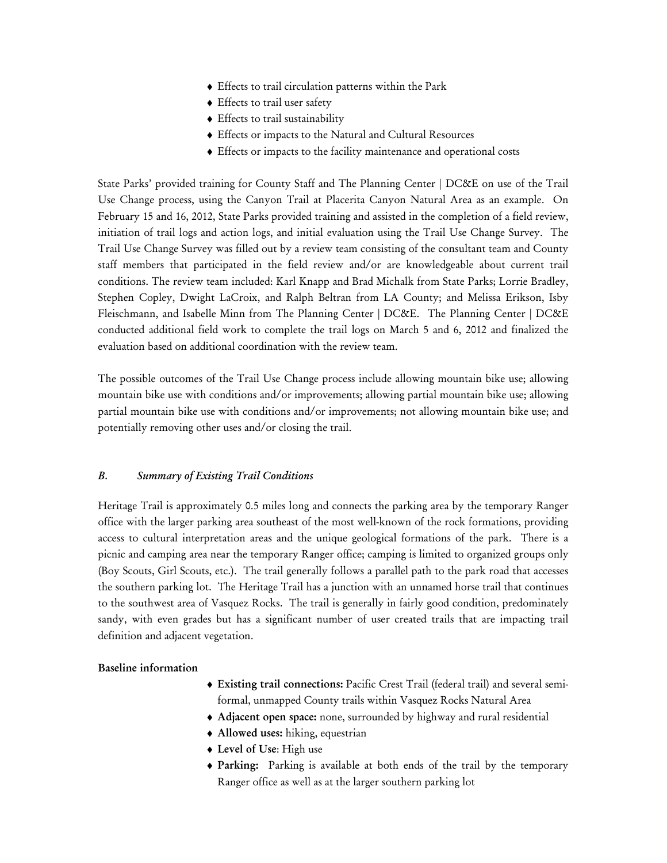- ♦ Effects to trail circulation patterns within the Park
- ♦ Effects to trail user safety
- ♦ Effects to trail sustainability
- ♦ Effects or impacts to the Natural and Cultural Resources
- ♦ Effects or impacts to the facility maintenance and operational costs

State Parks' provided training for County Staff and The Planning Center | DC&E on use of the Trail Use Change process, using the Canyon Trail at Placerita Canyon Natural Area as an example. On February 15 and 16, 2012, State Parks provided training and assisted in the completion of a field review, initiation of trail logs and action logs, and initial evaluation using the Trail Use Change Survey. The Trail Use Change Survey was filled out by a review team consisting of the consultant team and County staff members that participated in the field review and/or are knowledgeable about current trail conditions. The review team included: Karl Knapp and Brad Michalk from State Parks; Lorrie Bradley, Stephen Copley, Dwight LaCroix, and Ralph Beltran from LA County; and Melissa Erikson, Isby Fleischmann, and Isabelle Minn from The Planning Center | DC&E. The Planning Center | DC&E conducted additional field work to complete the trail logs on March 5 and 6, 2012 and finalized the evaluation based on additional coordination with the review team.

The possible outcomes of the Trail Use Change process include allowing mountain bike use; allowing mountain bike use with conditions and/or improvements; allowing partial mountain bike use; allowing partial mountain bike use with conditions and/or improvements; not allowing mountain bike use; and potentially removing other uses and/or closing the trail.

# *B. Summary of Existing Trail Conditions*

Heritage Trail is approximately 0.5 miles long and connects the parking area by the temporary Ranger office with the larger parking area southeast of the most well-known of the rock formations, providing access to cultural interpretation areas and the unique geological formations of the park. There is a picnic and camping area near the temporary Ranger office; camping is limited to organized groups only (Boy Scouts, Girl Scouts, etc.). The trail generally follows a parallel path to the park road that accesses the southern parking lot. The Heritage Trail has a junction with an unnamed horse trail that continues to the southwest area of Vasquez Rocks. The trail is generally in fairly good condition, predominately sandy, with even grades but has a significant number of user created trails that are impacting trail definition and adjacent vegetation.

### **Baseline information**

- ♦ **Existing trail connections:** Pacific Crest Trail (federal trail) and several semiformal, unmapped County trails within Vasquez Rocks Natural Area
- ♦ **Adjacent open space:** none, surrounded by highway and rural residential
- ♦ **Allowed uses:** hiking, equestrian
- ♦ **Level of Use**: High use
- ♦ **Parking:** Parking is available at both ends of the trail by the temporary Ranger office as well as at the larger southern parking lot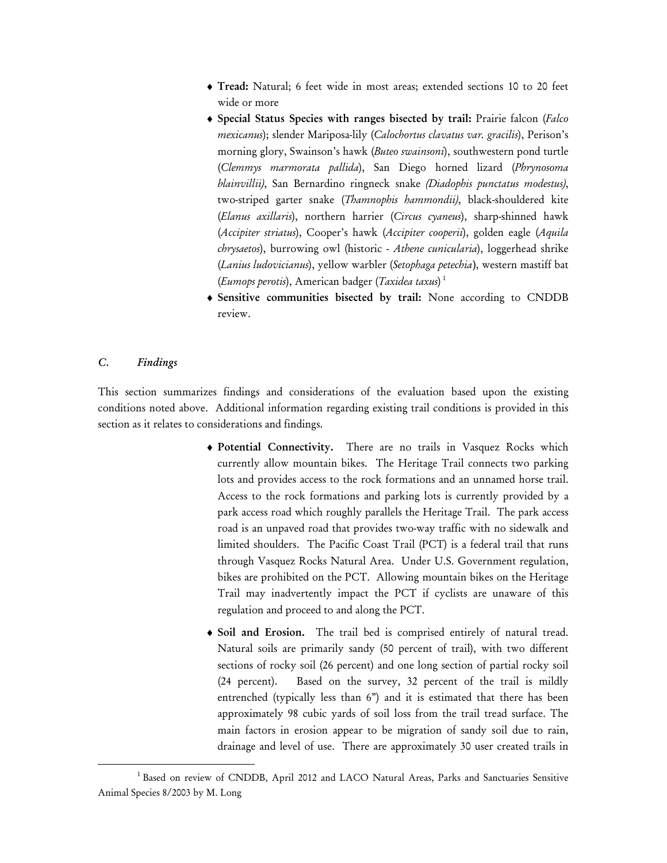- ♦ **Tread:** Natural; 6 feet wide in most areas; extended sections 10 to 20 feet wide or more
- ♦ **Special Status Species with ranges bisected by trail:** Prairie falcon (*Falco mexicanus*); slender Mariposa-lily (*Calochortus clavatus var. gracilis*), Perison's morning glory, Swainson's hawk (*Buteo swainsoni*), southwestern pond turtle (*Clemmys marmorata pallida*), San Diego horned lizard (*Phrynosoma blainvillii)*, San Bernardino ringneck snake *(Diadophis punctatus modestus)*, two-striped garter snake (*Thamnophis hammondii)*, black-shouldered kite (*Elanus axillaris*), northern harrier (*Circus cyaneus*), sharp-shinned hawk (*Accipiter striatus*), Cooper's hawk (*Accipiter cooperii*), golden eagle (*Aquila chrysaetos*), burrowing owl (historic - *Athene cunicularia*), loggerhead shrike (*Lanius ludovicianus*), yellow warbler (*Setophaga petechia*), western mastiff bat (*Eumops perotis*), American badger (*Taxidea taxus*) 1
- ♦ **Sensitive communities bisected by trail:** None according to CNDDB review.

### *C. Findings*

This section summarizes findings and considerations of the evaluation based upon the existing conditions noted above. Additional information regarding existing trail conditions is provided in this section as it relates to considerations and findings.

- ♦ **Potential Connectivity.** There are no trails in Vasquez Rocks which currently allow mountain bikes. The Heritage Trail connects two parking lots and provides access to the rock formations and an unnamed horse trail. Access to the rock formations and parking lots is currently provided by a park access road which roughly parallels the Heritage Trail. The park access road is an unpaved road that provides two-way traffic with no sidewalk and limited shoulders. The Pacific Coast Trail (PCT) is a federal trail that runs through Vasquez Rocks Natural Area. Under U.S. Government regulation, bikes are prohibited on the PCT. Allowing mountain bikes on the Heritage Trail may inadvertently impact the PCT if cyclists are unaware of this regulation and proceed to and along the PCT.
- ♦ **Soil and Erosion.** The trail bed is comprised entirely of natural tread. Natural soils are primarily sandy (50 percent of trail), with two different sections of rocky soil (26 percent) and one long section of partial rocky soil (24 percent). Based on the survey, 32 percent of the trail is mildly entrenched (typically less than 6") and it is estimated that there has been approximately 98 cubic yards of soil loss from the trail tread surface. The main factors in erosion appear to be migration of sandy soil due to rain, drainage and level of use. There are approximately 30 user created trails in

 $\begin{array}{c|c}\n\hline\n\text{1}\n\end{array}$ <sup>1</sup> Based on review of CNDDB, April 2012 and LACO Natural Areas, Parks and Sanctuaries Sensitive Animal Species 8/2003 by M. Long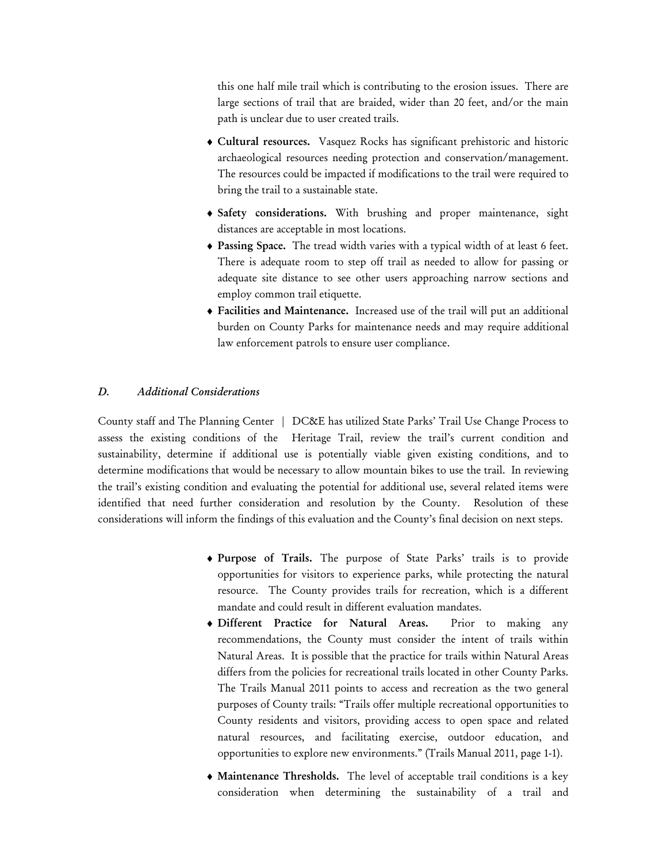this one half mile trail which is contributing to the erosion issues. There are large sections of trail that are braided, wider than 20 feet, and/or the main path is unclear due to user created trails.

- ♦ **Cultural resources.** Vasquez Rocks has significant prehistoric and historic archaeological resources needing protection and conservation/management. The resources could be impacted if modifications to the trail were required to bring the trail to a sustainable state.
- ♦ **Safety considerations.** With brushing and proper maintenance, sight distances are acceptable in most locations.
- ♦ **Passing Space.** The tread width varies with a typical width of at least 6 feet. There is adequate room to step off trail as needed to allow for passing or adequate site distance to see other users approaching narrow sections and employ common trail etiquette.
- ♦ **Facilities and Maintenance.** Increased use of the trail will put an additional burden on County Parks for maintenance needs and may require additional law enforcement patrols to ensure user compliance.

### *D. Additional Considerations*

County staff and The Planning Center | DC&E has utilized State Parks' Trail Use Change Process to assess the existing conditions of the Heritage Trail, review the trail's current condition and sustainability, determine if additional use is potentially viable given existing conditions, and to determine modifications that would be necessary to allow mountain bikes to use the trail. In reviewing the trail's existing condition and evaluating the potential for additional use, several related items were identified that need further consideration and resolution by the County. Resolution of these considerations will inform the findings of this evaluation and the County's final decision on next steps.

- ♦ **Purpose of Trails.** The purpose of State Parks' trails is to provide opportunities for visitors to experience parks, while protecting the natural resource. The County provides trails for recreation, which is a different mandate and could result in different evaluation mandates.
- ♦ **Different Practice for Natural Areas.** Prior to making any recommendations, the County must consider the intent of trails within Natural Areas. It is possible that the practice for trails within Natural Areas differs from the policies for recreational trails located in other County Parks. The Trails Manual 2011 points to access and recreation as the two general purposes of County trails: "Trails offer multiple recreational opportunities to County residents and visitors, providing access to open space and related natural resources, and facilitating exercise, outdoor education, and opportunities to explore new environments." (Trails Manual 2011, page 1-1).
- ♦ **Maintenance Thresholds.** The level of acceptable trail conditions is a key consideration when determining the sustainability of a trail and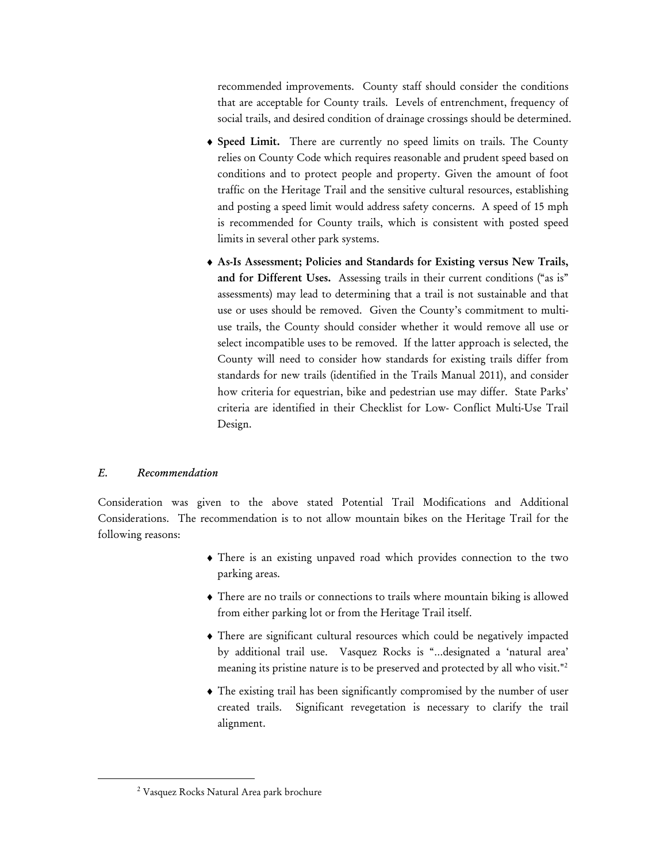recommended improvements. County staff should consider the conditions that are acceptable for County trails. Levels of entrenchment, frequency of social trails, and desired condition of drainage crossings should be determined.

- ♦ **Speed Limit.** There are currently no speed limits on trails. The County relies on County Code which requires reasonable and prudent speed based on conditions and to protect people and property. Given the amount of foot traffic on the Heritage Trail and the sensitive cultural resources, establishing and posting a speed limit would address safety concerns. A speed of 15 mph is recommended for County trails, which is consistent with posted speed limits in several other park systems.
- ♦ **As-Is Assessment; Policies and Standards for Existing versus New Trails, and for Different Uses.** Assessing trails in their current conditions ("as is" assessments) may lead to determining that a trail is not sustainable and that use or uses should be removed. Given the County's commitment to multiuse trails, the County should consider whether it would remove all use or select incompatible uses to be removed. If the latter approach is selected, the County will need to consider how standards for existing trails differ from standards for new trails (identified in the Trails Manual 2011), and consider how criteria for equestrian, bike and pedestrian use may differ. State Parks' criteria are identified in their Checklist for Low- Conflict Multi-Use Trail Design.

# *E. Recommendation*

Consideration was given to the above stated Potential Trail Modifications and Additional Considerations. The recommendation is to not allow mountain bikes on the Heritage Trail for the following reasons:

- ♦ There is an existing unpaved road which provides connection to the two parking areas.
- ♦ There are no trails or connections to trails where mountain biking is allowed from either parking lot or from the Heritage Trail itself.
- ♦ There are significant cultural resources which could be negatively impacted by additional trail use. Vasquez Rocks is "…designated a 'natural area' meaning its pristine nature is to be preserved and protected by all who visit."<sup>2</sup>
- ♦ The existing trail has been significantly compromised by the number of user created trails. Significant revegetation is necessary to clarify the trail alignment.

 <sup>2</sup> Vasquez Rocks Natural Area park brochure